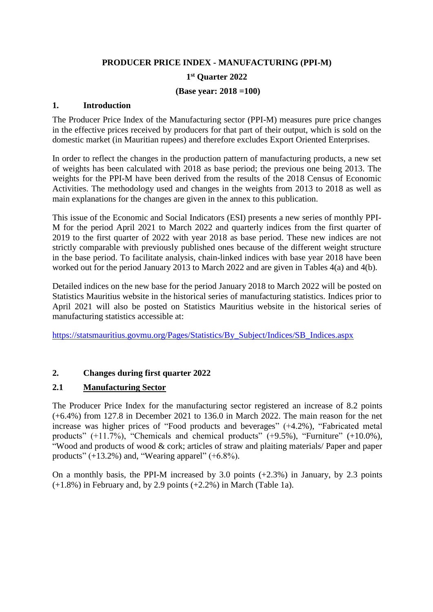# **PRODUCER PRICE INDEX - MANUFACTURING (PPI-M) 1 st Quarter 2022**

### **(Base year: 2018 =100)**

## **1. Introduction**

The Producer Price Index of the Manufacturing sector (PPI-M) measures pure price changes in the effective prices received by producers for that part of their output, which is sold on the domestic market (in Mauritian rupees) and therefore excludes Export Oriented Enterprises.

In order to reflect the changes in the production pattern of manufacturing products, a new set of weights has been calculated with 2018 as base period; the previous one being 2013. The weights for the PPI-M have been derived from the results of the 2018 Census of Economic Activities. The methodology used and changes in the weights from 2013 to 2018 as well as main explanations for the changes are given in the annex to this publication.

This issue of the Economic and Social Indicators (ESI) presents a new series of monthly PPI-M for the period April 2021 to March 2022 and quarterly indices from the first quarter of 2019 to the first quarter of 2022 with year 2018 as base period. These new indices are not strictly comparable with previously published ones because of the different weight structure in the base period. To facilitate analysis, chain-linked indices with base year 2018 have been worked out for the period January 2013 to March 2022 and are given in Tables 4(a) and 4(b).

Detailed indices on the new base for the period January 2018 to March 2022 will be posted on Statistics Mauritius website in the historical series of manufacturing statistics. Indices prior to April 2021 will also be posted on Statistics Mauritius website in the historical series of manufacturing statistics accessible at:

[https://statsmauritius.govmu.org/Pages/Statistics/By\\_Subject/Indices/SB\\_Indices.aspx](https://statsmauritius.govmu.org/Pages/Statistics/By_Subject/Indices/SB_Indices.aspx)

## **2. Changes during first quarter 2022**

## **2.1 Manufacturing Sector**

The Producer Price Index for the manufacturing sector registered an increase of 8.2 points (+6.4%) from 127.8 in December 2021 to 136.0 in March 2022. The main reason for the net increase was higher prices of "Food products and beverages" (+4.2%), "Fabricated metal products"  $(+11.7%)$ , "Chemicals and chemical products"  $(+9.5%)$ , "Furniture"  $(+10.0%)$ , "Wood and products of wood & cork; articles of straw and plaiting materials/ Paper and paper products"  $(+13.2\%)$  and, "Wearing apparel"  $(+6.8\%).$ 

On a monthly basis, the PPI-M increased by 3.0 points (+2.3%) in January, by 2.3 points (+1.8%) in February and, by 2.9 points (+2.2%) in March (Table 1a).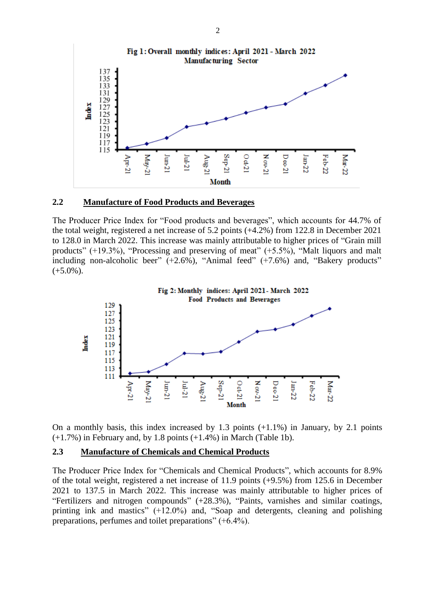

#### **2.2 Manufacture of Food Products and Beverages**

The Producer Price Index for "Food products and beverages", which accounts for 44.7% of the total weight, registered a net increase of 5.2 points (+4.2%) from 122.8 in December 2021 to 128.0 in March 2022. This increase was mainly attributable to higher prices of "Grain mill products"  $(+19.3\%)$ , "Processing and preserving of meat"  $(+5.5\%)$ , "Malt liquors and malt including non-alcoholic beer"  $(+2.6\%)$ , "Animal feed"  $(+7.6\%)$  and, "Bakery products"  $(+5.0\%)$ .



On a monthly basis, this index increased by 1.3 points (+1.1%) in January, by 2.1 points  $(+1.7%)$  in February and, by 1.8 points  $(+1.4%)$  in March (Table 1b).

#### **2.3 Manufacture of Chemicals and Chemical Products**

The Producer Price Index for "Chemicals and Chemical Products", which accounts for 8.9% of the total weight, registered a net increase of 11.9 points (+9.5%) from 125.6 in December 2021 to 137.5 in March 2022. This increase was mainly attributable to higher prices of "Fertilizers and nitrogen compounds" (+28.3%), "Paints, varnishes and similar coatings, printing ink and mastics" (+12.0%) and, "Soap and detergents, cleaning and polishing preparations, perfumes and toilet preparations" (+6.4%).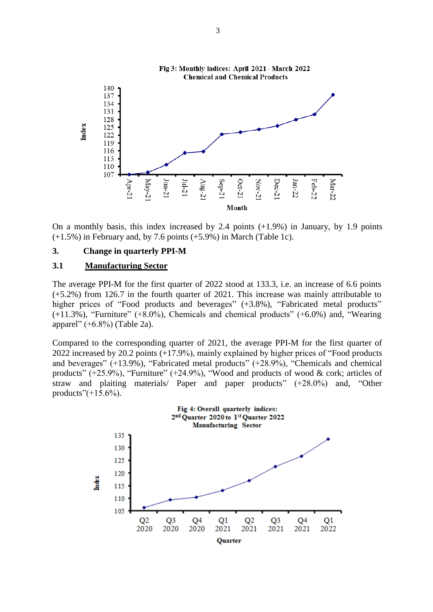

On a monthly basis, this index increased by 2.4 points (+1.9%) in January, by 1.9 points (+1.5%) in February and, by 7.6 points (+5.9%) in March (Table 1c).

#### **3. Change in quarterly PPI-M**

#### **3.1 Manufacturing Sector**

The average PPI-M for the first quarter of 2022 stood at 133.3, i.e. an increase of 6.6 points (+5.2%) from 126.7 in the fourth quarter of 2021. This increase was mainly attributable to higher prices of "Food products and beverages" (+3.8%), "Fabricated metal products" (+11.3%), "Furniture" (+8.0%), Chemicals and chemical products" (+6.0%) and, "Wearing apparel" (+6.8%) (Table 2a).

Compared to the corresponding quarter of 2021, the average PPI-M for the first quarter of 2022 increased by 20.2 points (+17.9%), mainly explained by higher prices of "Food products and beverages" (+13.9%), "Fabricated metal products" (+28.9%), "Chemicals and chemical products" (+25.9%), "Furniture" (+24.9%), "Wood and products of wood & cork; articles of straw and plaiting materials/ Paper and paper products" (+28.0%) and, "Other products" $(+15.6%)$ .

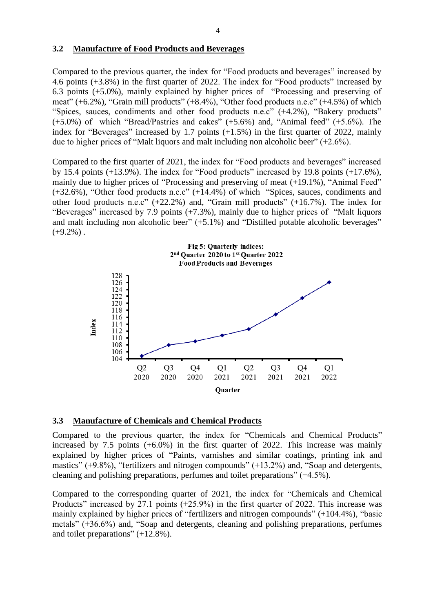#### **3.2 Manufacture of Food Products and Beverages**

Compared to the previous quarter, the index for "Food products and beverages" increased by 4.6 points (+3.8%) in the first quarter of 2022. The index for "Food products" increased by 6.3 points (+5.0%), mainly explained by higher prices of "Processing and preserving of meat" (+6.2%), "Grain mill products" (+8.4%), "Other food products n.e.c" (+4.5%) of which "Spices, sauces, condiments and other food products n.e.c" (+4.2%), "Bakery products" (+5.0%) of which "Bread/Pastries and cakes" (+5.6%) and, "Animal feed" (+5.6%). The index for "Beverages" increased by 1.7 points (+1.5%) in the first quarter of 2022, mainly due to higher prices of "Malt liquors and malt including non alcoholic beer" (+2.6%).

Compared to the first quarter of 2021, the index for "Food products and beverages" increased by 15.4 points (+13.9%). The index for "Food products" increased by 19.8 points (+17.6%), mainly due to higher prices of "Processing and preserving of meat  $(+19.1\%)$ , "Animal Feed" (+32.6%), "Other food products n.e.c" (+14.4%) of which "Spices, sauces, condiments and other food products n.e.c" (+22.2%) and, "Grain mill products" (+16.7%). The index for "Beverages" increased by 7.9 points (+7.3%), mainly due to higher prices of "Malt liquors and malt including non alcoholic beer" (+5.1%) and "Distilled potable alcoholic beverages"  $(+9.2\%)$ .



#### **3.3 Manufacture of Chemicals and Chemical Products**

Compared to the previous quarter, the index for "Chemicals and Chemical Products" increased by 7.5 points (+6.0%) in the first quarter of 2022. This increase was mainly explained by higher prices of "Paints, varnishes and similar coatings, printing ink and mastics" (+9.8%), "fertilizers and nitrogen compounds" (+13.2%) and, "Soap and detergents, cleaning and polishing preparations, perfumes and toilet preparations" (+4.5%).

Compared to the corresponding quarter of 2021, the index for "Chemicals and Chemical Products" increased by 27.1 points (+25.9%) in the first quarter of 2022. This increase was mainly explained by higher prices of "fertilizers and nitrogen compounds" (+104.4%), "basic metals" (+36.6%) and, "Soap and detergents, cleaning and polishing preparations, perfumes and toilet preparations" (+12.8%).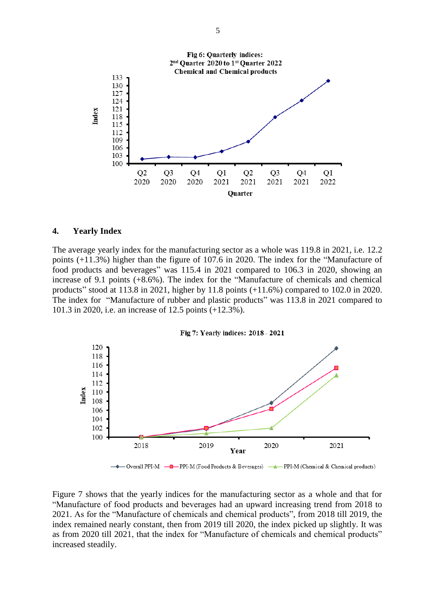

#### **4. Yearly Index**

The average yearly index for the manufacturing sector as a whole was 119.8 in 2021, i.e. 12.2 points (+11.3%) higher than the figure of 107.6 in 2020. The index for the "Manufacture of food products and beverages" was 115.4 in 2021 compared to 106.3 in 2020, showing an increase of 9.1 points (+8.6%). The index for the "Manufacture of chemicals and chemical products" stood at 113.8 in 2021, higher by 11.8 points (+11.6%) compared to 102.0 in 2020. The index for "Manufacture of rubber and plastic products" was 113.8 in 2021 compared to 101.3 in 2020, i.e. an increase of 12.5 points (+12.3%).



Figure 7 shows that the yearly indices for the manufacturing sector as a whole and that for "Manufacture of food products and beverages had an upward increasing trend from 2018 to 2021. As for the "Manufacture of chemicals and chemical products", from 2018 till 2019, the index remained nearly constant, then from 2019 till 2020, the index picked up slightly. It was as from 2020 till 2021, that the index for "Manufacture of chemicals and chemical products" increased steadily.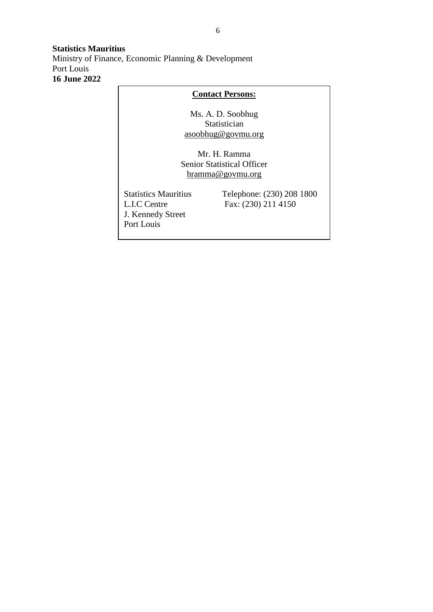### **Statistics Mauritius** Ministry of Finance, Economic Planning & Development Port Louis **16 June 2022**

## **Contact Persons:**

Ms. A. D. Soobhug Statistician [asoobhug@govmu.org](mailto:asoobhug@govmu.org)

Mr. H. Ramma Senior Statistical Officer hramma@govmu.org

J. Kennedy Street Port Louis

Statistics Mauritius Telephone: (230) 208 1800<br>L.I.C Centre Fax: (230) 211 4150 Fax: (230) 211 4150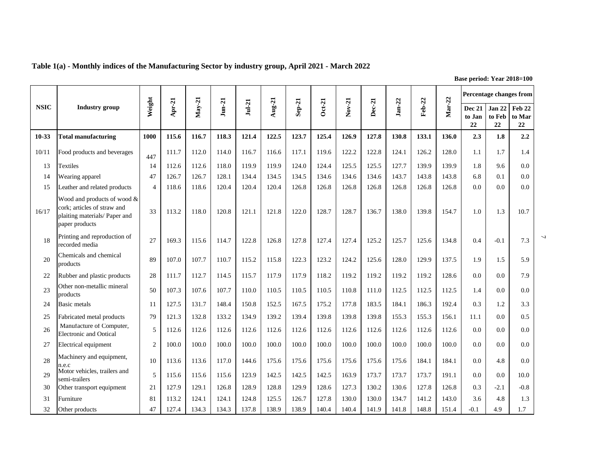|             |                                                                                                               |               |        |          |              |          |                 |          |          |          |        |          |        |        |                               |                               | Percentage changes from |   |
|-------------|---------------------------------------------------------------------------------------------------------------|---------------|--------|----------|--------------|----------|-----------------|----------|----------|----------|--------|----------|--------|--------|-------------------------------|-------------------------------|-------------------------|---|
| <b>NSIC</b> | <b>Industry</b> group                                                                                         | Weight        | Apr-21 | $May-21$ | $J$ un- $21$ | $Jul-21$ | $\text{Aug-21}$ | $Sep-21$ | $Oct-21$ | $Nov-21$ | Dec-21 | $Jan-22$ | Feb-22 | Mar-22 | <b>Dec 21</b><br>to Jan<br>22 | <b>Jan 22</b><br>to Feb<br>22 | Feb 22<br>to Mar<br>22  |   |
| $10 - 33$   | <b>Total manufacturing</b>                                                                                    | 1000          | 115.6  | 116.7    | 118.3        | 121.4    | 122.5           | 123.7    | 125.4    | 126.9    | 127.8  | 130.8    | 133.1  | 136.0  | 2.3                           | 1.8                           | 2.2                     |   |
| 10/11       | Food products and beverages                                                                                   | 447           | 111.7  | 112.0    | 114.0        | 116.7    | 116.6           | 117.1    | 119.6    | 122.2    | 122.8  | 124.1    | 126.2  | 128.0  | 1.1                           | 1.7                           | 1.4                     |   |
| 13          | Textiles                                                                                                      | 14            | 112.6  | 112.6    | 118.0        | 119.9    | 119.9           | 124.0    | 124.4    | 125.5    | 125.5  | 127.7    | 139.9  | 139.9  | 1.8                           | 9.6                           | 0.0                     |   |
| 14          | Wearing apparel                                                                                               | 47            | 126.7  | 126.7    | 128.1        | 134.4    | 134.5           | 134.5    | 134.6    | 134.6    | 134.6  | 143.7    | 143.8  | 143.8  | 6.8                           | 0.1                           | 0.0                     |   |
| 15          | Leather and related products                                                                                  | $\Delta$      | 118.6  | 118.6    | 120.4        | 120.4    | 120.4           | 126.8    | 126.8    | 126.8    | 126.8  | 126.8    | 126.8  | 126.8  | 0.0                           | 0.0                           | 0.0                     |   |
| 16/17       | Wood and products of wood &<br>cork; articles of straw and<br>plaiting materials/ Paper and<br>paper products | 33            | 113.2  | 118.0    | 120.8        | 121.1    | 121.8           | 122.0    | 128.7    | 128.7    | 136.7  | 138.0    | 139.8  | 154.7  | 1.0                           | 1.3                           | 10.7                    |   |
| 18          | Printing and reproduction of<br>recorded media                                                                | 27            | 169.3  | 115.6    | 114.7        | 122.8    | 126.8           | 127.8    | 127.4    | 127.4    | 125.2  | 125.7    | 125.6  | 134.8  | 0.4                           | $-0.1$                        | 7.3                     | ب |
| 20          | Chemicals and chemical<br>products                                                                            | 89            | 107.0  | 107.7    | 110.7        | 115.2    | 115.8           | 122.3    | 123.2    | 124.2    | 125.6  | 128.0    | 129.9  | 137.5  | 1.9                           | 1.5                           | 5.9                     |   |
| 22          | Rubber and plastic products                                                                                   | 28            | 111.7  | 112.7    | 114.5        | 115.7    | 117.9           | 117.9    | 118.2    | 119.2    | 119.2  | 119.2    | 119.2  | 128.6  | 0.0                           | 0.0                           | 7.9                     |   |
| 23          | Other non-metallic mineral<br>products                                                                        | 50            | 107.3  | 107.6    | 107.7        | 110.0    | 110.5           | 110.5    | 110.5    | 110.8    | 111.0  | 112.5    | 112.5  | 112.5  | 1.4                           | 0.0                           | 0.0                     |   |
| 24          | Basic metals                                                                                                  | 11            | 127.5  | 131.7    | 148.4        | 150.8    | 152.5           | 167.5    | 175.2    | 177.8    | 183.5  | 184.1    | 186.3  | 192.4  | 0.3                           | 1.2                           | 3.3                     |   |
| 25          | Fabricated metal products                                                                                     | 79            | 121.3  | 132.8    | 133.2        | 134.9    | 139.2           | 139.4    | 139.8    | 139.8    | 139.8  | 155.3    | 155.3  | 156.1  | 11.1                          | 0.0                           | 0.5                     |   |
| 26          | Manufacture of Computer,<br><b>Electronic and Optical</b>                                                     | 5             | 112.6  | 112.6    | 112.6        | 112.6    | 112.6           | 112.6    | 112.6    | 112.6    | 112.6  | 112.6    | 112.6  | 112.6  | 0.0                           | 0.0                           | 0.0                     |   |
| 27          | Electrical equipment                                                                                          | $\mathcal{D}$ | 100.0  | 100.0    | 100.0        | 100.0    | 100.0           | 100.0    | 100.0    | 100.0    | 100.0  | 100.0    | 100.0  | 100.0  | 0.0                           | 0.0                           | 0.0                     |   |
| 28          | Machinery and equipment,<br>n.e.c                                                                             | 10            | 113.6  | 113.6    | 117.0        | 144.6    | 175.6           | 175.6    | 175.6    | 175.6    | 175.6  | 175.6    | 184.1  | 184.1  | 0.0                           | 4.8                           | 0.0                     |   |
| 29          | Motor vehicles, trailers and<br>semi-trailers                                                                 | 5             | 115.6  | 115.6    | 115.6        | 123.9    | 142.5           | 142.5    | 142.5    | 163.9    | 173.7  | 173.7    | 173.7  | 191.1  | 0.0                           | 0.0                           | 10.0                    |   |
| 30          | Other transport equipment                                                                                     | 21            | 127.9  | 129.1    | 126.8        | 128.9    | 128.8           | 129.9    | 128.6    | 127.3    | 130.2  | 130.6    | 127.8  | 126.8  | 0.3                           | $-2.1$                        | $-0.8$                  |   |
| 31          | Furniture                                                                                                     | 81            | 113.2  | 124.1    | 124.1        | 124.8    | 125.5           | 126.7    | 127.8    | 130.0    | 130.0  | 134.7    | 141.2  | 143.0  | 3.6                           | 4.8                           | 1.3                     |   |
| 32          | Other products                                                                                                | 47            | 127.4  | 134.3    | 134.3        | 137.8    | 138.9           | 138.9    | 140.4    | 140.4    | 141.9  | 141.8    | 148.8  | 151.4  | $-0.1$                        | 4.9                           | 1.7                     |   |

**Table 1(a) - Monthly indices of the Manufacturing Sector by industry group, April 2021 - March 2022**

**Base period: Year 2018=100**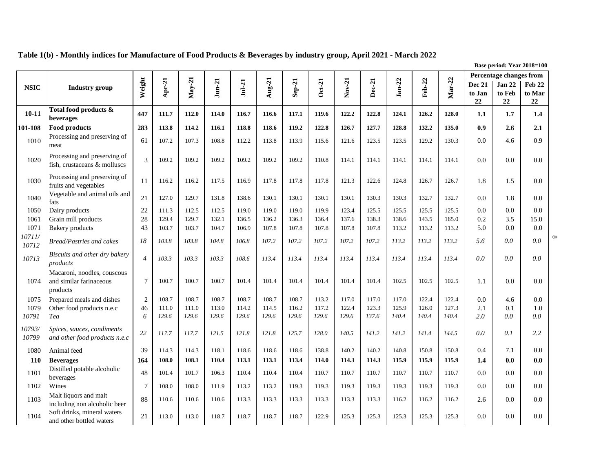|                 |                                                                    |                |          |          |              |          |                          |          |          |          |        |          |        |        |                         | Percentage changes from |                  |          |
|-----------------|--------------------------------------------------------------------|----------------|----------|----------|--------------|----------|--------------------------|----------|----------|----------|--------|----------|--------|--------|-------------------------|-------------------------|------------------|----------|
| <b>NSIC</b>     | Industry group                                                     | Weight         | $Apr-21$ | $May-21$ | $J$ un- $21$ | $Jul-21$ | $\mathbf{Aug}\text{-}21$ | $Sep-21$ | $Oct-21$ | $Nov-21$ | Dec-21 | $Jan-22$ | Feb-22 | Mar-22 | <b>Dec 21</b><br>to Jan | Jan 22<br>to Feb        | Feb 22<br>to Mar |          |
|                 |                                                                    |                |          |          |              |          |                          |          |          |          |        |          |        |        | 22                      | 22                      | 22               |          |
| $10 - 11$       | Total food products &<br>beverages                                 | 447            | 111.7    | 112.0    | 114.0        | 116.7    | 116.6                    | 117.1    | 119.6    | 122.2    | 122.8  | 124.1    | 126.2  | 128.0  | 1.1                     | 1.7                     | 1.4              |          |
| 101-108         | <b>Food products</b>                                               | 283            | 113.8    | 114.2    | 116.1        | 118.8    | 118.6                    | 119.2    | 122.8    | 126.7    | 127.7  | 128.8    | 132.2  | 135.0  | 0.9                     | 2.6                     | 2.1              |          |
| 1010            | Processing and preserving of<br>meat                               | 61             | 107.2    | 107.3    | 108.8        | 112.2    | 113.8                    | 113.9    | 115.6    | 121.6    | 123.5  | 123.5    | 129.2  | 130.3  | 0.0                     | 4.6                     | 0.9              |          |
| 1020            | Processing and preserving of<br>fish, crustaceans & molluscs       | 3              | 109.2    | 109.2    | 109.2        | 109.2    | 109.2                    | 109.2    | 110.8    | 114.1    | 114.1  | 114.1    | 114.1  | 114.1  | 0.0                     | 0.0                     | 0.0              |          |
| 1030            | Processing and preserving of<br>fruits and vegetables              | 11             | 116.2    | 116.2    | 117.5        | 116.9    | 117.8                    | 117.8    | 117.8    | 121.3    | 122.6  | 124.8    | 126.7  | 126.7  | 1.8                     | 1.5                     | 0.0              |          |
| 1040            | Vegetable and animal oils and<br>fats                              | 21             | 127.0    | 129.7    | 131.8        | 138.6    | 130.1                    | 130.1    | 130.1    | 130.1    | 130.3  | 130.3    | 132.7  | 132.7  | 0.0                     | 1.8                     | 0.0              |          |
| 1050            | Dairy products                                                     | 22             | 111.3    | 112.5    | 112.5        | 119.0    | 119.0                    | 119.0    | 119.9    | 123.4    | 125.5  | 125.5    | 125.5  | 125.5  | 0.0                     | 0.0                     | 0.0              |          |
| 1061            | Grain mill products                                                | 28             | 129.4    | 129.7    | 132.1        | 136.5    | 136.2                    | 136.3    | 136.4    | 137.6    | 138.3  | 138.6    | 143.5  | 165.0  | 0.2                     | 3.5                     | 15.0             |          |
| 1071<br>10711/  | <b>Bakery</b> products                                             | 43             | 103.7    | 103.7    | 104.7        | 106.9    | 107.8                    | 107.8    | 107.8    | 107.8    | 107.8  | 113.2    | 113.2  | 113.2  | 5.0                     | 0.0                     | 0.0              | $\infty$ |
| 10712           | Bread/Pastries and cakes                                           | 18             | 103.8    | 103.8    | 104.8        | 106.8    | 107.2                    | 107.2    | 107.2    | 107.2    | 107.2  | 113.2    | 113.2  | 113.2  | 5.6                     | 0.0                     | 0.0              |          |
| 10713           | Biscuits and other dry bakery<br>products                          | $\overline{4}$ | 103.3    | 103.3    | 103.3        | 108.6    | 113.4                    | 113.4    | 113.4    | 113.4    | 113.4  | 113.4    | 113.4  | 113.4  | 0.0                     | 0.0                     | 0.0              |          |
| 1074            | Macaroni, noodles, couscous<br>and similar farinaceous<br>products | $\overline{7}$ | 100.7    | 100.7    | 100.7        | 101.4    | 101.4                    | 101.4    | 101.4    | 101.4    | 101.4  | 102.5    | 102.5  | 102.5  | 1.1                     | 0.0                     | 0.0              |          |
| 1075            | Prepared meals and dishes                                          | $\overline{2}$ | 108.7    | 108.7    | 108.7        | 108.7    | 108.7                    | 108.7    | 113.2    | 117.0    | 117.0  | 117.0    | 122.4  | 122.4  | 0.0                     | 4.6                     | 0.0              |          |
| 1079            | Other food products n.e.c                                          | 46             | 111.0    | 111.0    | 113.0        | 114.2    | 114.5                    | 116.2    | 117.2    | 122.4    | 123.3  | 125.9    | 126.0  | 127.3  | 2.1                     | 0.1                     | 1.0              |          |
| 10791           | Tea                                                                | 6              | 129.6    | 129.6    | 129.6        | 129.6    | 129.6                    | 129.6    | 129.6    | 129.6    | 137.6  | 140.4    | 140.4  | 140.4  | 2.0                     | 0.0                     | 0.0              |          |
| 10793/<br>10799 | Spices, sauces, condiments<br>and other food products n.e.c        | 22             | 117.7    | 117.7    | 121.5        | 121.8    | 121.8                    | 125.7    | 128.0    | 140.5    | 141.2  | 141.2    | 141.4  | 144.5  | 0.0                     | 0.1                     | 2.2              |          |
| 1080            | Animal feed                                                        | 39             | 114.3    | 114.3    | 118.1        | 118.6    | 118.6                    | 118.6    | 138.8    | 140.2    | 140.2  | 140.8    | 150.8  | 150.8  | 0.4                     | 7.1                     | 0.0              |          |
| 110             | <b>Beverages</b>                                                   | 164            | 108.0    | 108.1    | 110.4        | 113.1    | 113.1                    | 113.4    | 114.0    | 114.3    | 114.3  | 115.9    | 115.9  | 115.9  | 1.4                     | 0.0                     | 0.0              |          |
| 1101            | Distilled potable alcoholic<br>beverages                           | 48             | 101.4    | 101.7    | 106.3        | 110.4    | 110.4                    | 110.4    | 110.7    | 110.7    | 110.7  | 110.7    | 110.7  | 110.7  | 0.0                     | 0.0                     | 0.0              |          |
| 1102            | Wines                                                              | $\overline{7}$ | 108.0    | 108.0    | 111.9        | 113.2    | 113.2                    | 119.3    | 119.3    | 119.3    | 119.3  | 119.3    | 119.3  | 119.3  | 0.0                     | 0.0                     | 0.0              |          |
| 1103            | Malt liquors and malt<br>including non alcoholic beer              | 88             | 110.6    | 110.6    | 110.6        | 113.3    | 113.3                    | 113.3    | 113.3    | 113.3    | 113.3  | 116.2    | 116.2  | 116.2  | 2.6                     | 0.0                     | 0.0              |          |
| 1104            | Soft drinks, mineral waters<br>and other bottled waters            | 21             | 113.0    | 113.0    | 118.7        | 118.7    | 118.7                    | 118.7    | 122.9    | 125.3    | 125.3  | 125.3    | 125.3  | 125.3  | 0.0                     | 0.0                     | 0.0              |          |

**Table 1(b) - Monthly indices for Manufacture of Food Products & Beverages by industry group, April 2021 - March 2022**

**Base period: Year 2018=100**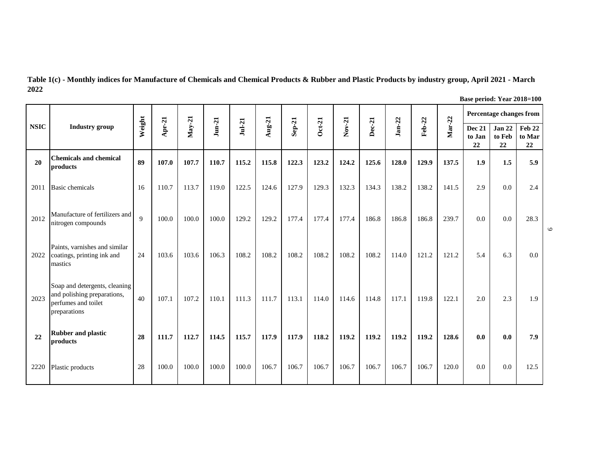**Table 1(c) - Monthly indices for Manufacture of Chemicals and Chemical Products & Rubber and Plastic Products by industry group, April 2021 - March 2022**

| <b>NSIC</b> |                                                                                                     |                |          |          |              |          |          |        |          |          |        |               |        |        |                               | Percentage changes from       |                        |
|-------------|-----------------------------------------------------------------------------------------------------|----------------|----------|----------|--------------|----------|----------|--------|----------|----------|--------|---------------|--------|--------|-------------------------------|-------------------------------|------------------------|
|             | <b>Industry</b> group                                                                               | Weight         | $Apr-21$ | $May-21$ | $J$ un- $21$ | $Jul-21$ | $Aug-21$ | Sep-21 | $Oct-21$ | $Nov-21$ | Dec-21 | <b>Jan-22</b> | Feb-22 | Mar-22 | <b>Dec 21</b><br>to Jan<br>22 | <b>Jan 22</b><br>to Feb<br>22 | Feb 22<br>to Mar<br>22 |
| 20          | <b>Chemicals and chemical</b><br>products                                                           | 89             | 107.0    | 107.7    | 110.7        | 115.2    | 115.8    | 122.3  | 123.2    | 124.2    | 125.6  | 128.0         | 129.9  | 137.5  | 1.9                           | 1.5                           | 5.9                    |
| 2011        | <b>Basic chemicals</b>                                                                              | 16             | 110.7    | 113.7    | 119.0        | 122.5    | 124.6    | 127.9  | 129.3    | 132.3    | 134.3  | 138.2         | 138.2  | 141.5  | 2.9                           | 0.0                           | 2.4                    |
| 2012        | Manufacture of fertilizers and<br>nitrogen compounds                                                | $\overline{Q}$ | 100.0    | 100.0    | 100.0        | 129.2    | 129.2    | 177.4  | 177.4    | 177.4    | 186.8  | 186.8         | 186.8  | 239.7  | 0.0                           | 0.0                           | 28.3                   |
| 2022        | Paints, varnishes and similar<br>coatings, printing ink and<br>mastics                              | 24             | 103.6    | 103.6    | 106.3        | 108.2    | 108.2    | 108.2  | 108.2    | 108.2    | 108.2  | 114.0         | 121.2  | 121.2  | 5.4                           | 6.3                           | 0.0                    |
| 2023        | Soap and detergents, cleaning<br>and polishing preparations,<br>perfumes and toilet<br>preparations | 40             | 107.1    | 107.2    | 110.1        | 111.3    | 111.7    | 113.1  | 114.0    | 114.6    | 114.8  | 117.1         | 119.8  | 122.1  | 2.0                           | 2.3                           | 1.9                    |
| 22          | <b>Rubber and plastic</b><br>products                                                               | 28             | 111.7    | 112.7    | 114.5        | 115.7    | 117.9    | 117.9  | 118.2    | 119.2    | 119.2  | 119.2         | 119.2  | 128.6  | 0.0                           | 0.0                           | 7.9                    |
| 2220        | Plastic products                                                                                    | 28             | 100.0    | 100.0    | 100.0        | 100.0    | 106.7    | 106.7  | 106.7    | 106.7    | 106.7  | 106.7         | 106.7  | 120.0  | 0.0                           | 0.0                           | 12.5                   |

**Base period: Year 2018=100**

 $\circ$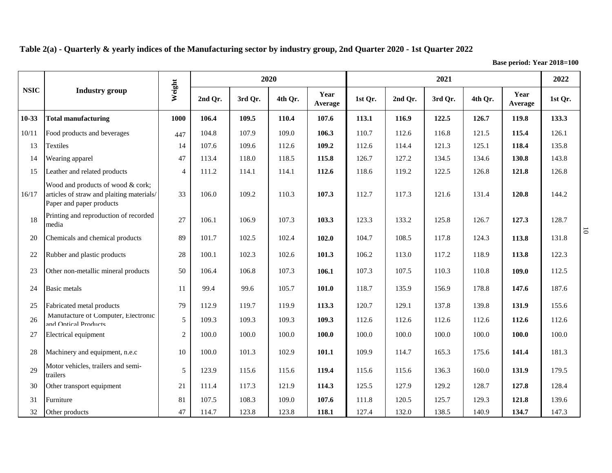**Table 2(a) - Quarterly & yearly indices of the Manufacturing sector by industry group, 2nd Quarter 2020 - 1st Quarter 2022**

**Base period: Year 2018=100**

|             |                                                                                                            |                |         |         | 2020    |                 |         |         | 2021    |         |                 | 2022    |
|-------------|------------------------------------------------------------------------------------------------------------|----------------|---------|---------|---------|-----------------|---------|---------|---------|---------|-----------------|---------|
| <b>NSIC</b> | <b>Industry</b> group                                                                                      | Weight         | 2nd Qr. | 3rd Or. | 4th Qr. | Year<br>Average | 1st Qr. | 2nd Qr. | 3rd Qr. | 4th Qr. | Year<br>Average | 1st Qr. |
| $10-33$     | <b>Total manufacturing</b>                                                                                 | 1000           | 106.4   | 109.5   | 110.4   | 107.6           | 113.1   | 116.9   | 122.5   | 126.7   | 119.8           | 133.3   |
| 10/11       | Food products and beverages                                                                                | 447            | 104.8   | 107.9   | 109.0   | 106.3           | 110.7   | 112.6   | 116.8   | 121.5   | 115.4           | 126.1   |
| 13          | Textiles                                                                                                   | 14             | 107.6   | 109.6   | 112.6   | 109.2           | 112.6   | 114.4   | 121.3   | 125.1   | 118.4           | 135.8   |
| 14          | Wearing apparel                                                                                            | 47             | 113.4   | 118.0   | 118.5   | 115.8           | 126.7   | 127.2   | 134.5   | 134.6   | 130.8           | 143.8   |
| 15          | Leather and related products                                                                               | $\overline{4}$ | 111.2   | 114.1   | 114.1   | 112.6           | 118.6   | 119.2   | 122.5   | 126.8   | 121.8           | 126.8   |
| 16/17       | Wood and products of wood & cork;<br>articles of straw and plaiting materials/<br>Paper and paper products | 33             | 106.0   | 109.2   | 110.3   | 107.3           | 112.7   | 117.3   | 121.6   | 131.4   | 120.8           | 144.2   |
| 18          | Printing and reproduction of recorded<br>media                                                             | 27             | 106.1   | 106.9   | 107.3   | 103.3           | 123.3   | 133.2   | 125.8   | 126.7   | 127.3           | 128.7   |
| 20          | Chemicals and chemical products                                                                            | 89             | 101.7   | 102.5   | 102.4   | 102.0           | 104.7   | 108.5   | 117.8   | 124.3   | 113.8           | 131.8   |
| 22          | Rubber and plastic products                                                                                | 28             | 100.1   | 102.3   | 102.6   | 101.3           | 106.2   | 113.0   | 117.2   | 118.9   | 113.8           | 122.3   |
| 23          | Other non-metallic mineral products                                                                        | 50             | 106.4   | 106.8   | 107.3   | 106.1           | 107.3   | 107.5   | 110.3   | 110.8   | 109.0           | 112.5   |
| 24          | <b>Basic</b> metals                                                                                        | 11             | 99.4    | 99.6    | 105.7   | 101.0           | 118.7   | 135.9   | 156.9   | 178.8   | 147.6           | 187.6   |
| 25          | Fabricated metal products                                                                                  | 79             | 112.9   | 119.7   | 119.9   | 113.3           | 120.7   | 129.1   | 137.8   | 139.8   | 131.9           | 155.6   |
| 26          | Manufacture of Computer, Electronic<br>and Ontical Products                                                | 5              | 109.3   | 109.3   | 109.3   | 109.3           | 112.6   | 112.6   | 112.6   | 112.6   | 112.6           | 112.6   |
| 27          | Electrical equipment                                                                                       | $\overline{c}$ | 100.0   | 100.0   | 100.0   | 100.0           | 100.0   | 100.0   | 100.0   | 100.0   | 100.0           | 100.0   |
| 28          | Machinery and equipment, n.e.c                                                                             | 10             | 100.0   | 101.3   | 102.9   | 101.1           | 109.9   | 114.7   | 165.3   | 175.6   | 141.4           | 181.3   |
| 29          | Motor vehicles, trailers and semi-<br>trailers                                                             | 5              | 123.9   | 115.6   | 115.6   | 119.4           | 115.6   | 115.6   | 136.3   | 160.0   | 131.9           | 179.5   |
| 30          | Other transport equipment                                                                                  | 21             | 111.4   | 117.3   | 121.9   | 114.3           | 125.5   | 127.9   | 129.2   | 128.7   | 127.8           | 128.4   |
| 31          | Furniture                                                                                                  | 81             | 107.5   | 108.3   | 109.0   | 107.6           | 111.8   | 120.5   | 125.7   | 129.3   | 121.8           | 139.6   |
| 32          | Other products                                                                                             | 47             | 114.7   | 123.8   | 123.8   | 118.1           | 127.4   | 132.0   | 138.5   | 140.9   | 134.7           | 147.3   |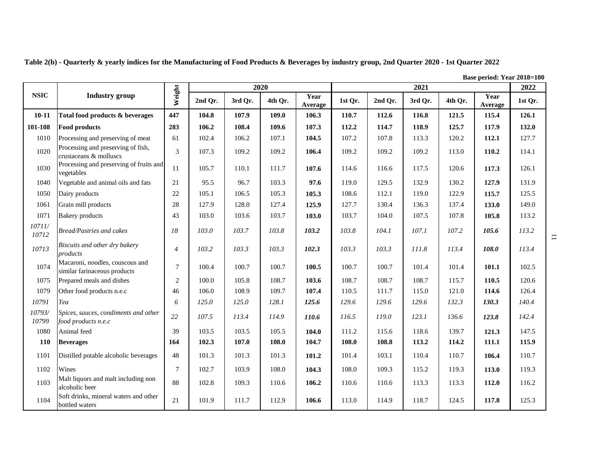|                 |                                                                 |                |         | 2020    |         |                 |         |         | 2021    |         | <b>Dasc period:</b> Tear 2010–100 | 2022    |
|-----------------|-----------------------------------------------------------------|----------------|---------|---------|---------|-----------------|---------|---------|---------|---------|-----------------------------------|---------|
| <b>NSIC</b>     | <b>Industry</b> group                                           | Weight         | 2nd Qr. | 3rd Qr. | 4th Qr. | Year<br>Average | 1st Qr. | 2nd Qr. | 3rd Qr. | 4th Qr. | Year<br>Average                   | 1st Qr. |
| $10 - 11$       | Total food products & beverages                                 | 447            | 104.8   | 107.9   | 109.0   | 106.3           | 110.7   | 112.6   | 116.8   | 121.5   | 115.4                             | 126.1   |
| 101-108         | Food products                                                   | 283            | 106.2   | 108.4   | 109.6   | 107.3           | 112.2   | 114.7   | 118.9   | 125.7   | 117.9                             | 132.0   |
| 1010            | Processing and preserving of meat                               | 61             | 102.4   | 106.2   | 107.1   | 104.5           | 107.2   | 107.8   | 113.3   | 120.2   | 112.1                             | 127.7   |
| 1020            | Processing and preserving of fish,<br>crustaceans & molluscs    | 3              | 107.3   | 109.2   | 109.2   | 106.4           | 109.2   | 109.2   | 109.2   | 113.0   | 110.2                             | 114.1   |
| 1030            | Processing and preserving of fruits and<br>vegetables           | 11             | 105.7   | 110.1   | 111.7   | 107.6           | 114.6   | 116.6   | 117.5   | 120.6   | 117.3                             | 126.1   |
| 1040            | Vegetable and animal oils and fats                              | 21             | 95.5    | 96.7    | 103.3   | 97.6            | 119.0   | 129.5   | 132.9   | 130.2   | 127.9                             | 131.9   |
| 1050            | Dairy products                                                  | 22             | 105.1   | 106.5   | 105.3   | 105.3           | 108.6   | 112.1   | 119.0   | 122.9   | 115.7                             | 125.5   |
| 1061            | Grain mill products                                             | 28             | 127.9   | 128.0   | 127.4   | 125.9           | 127.7   | 130.4   | 136.3   | 137.4   | 133.0                             | 149.0   |
| 1071            | <b>Bakery</b> products                                          | 43             | 103.0   | 103.6   | 103.7   | 103.0           | 103.7   | 104.0   | 107.5   | 107.8   | 105.8                             | 113.2   |
| 10711/<br>10712 | Bread/Pastries and cakes                                        | 18             | 103.0   | 103.7   | 103.8   | 103.2           | 103.8   | 104.1   | 107.1   | 107.2   | 105.6                             | 113.2   |
| 10713           | Biscuits and other dry bakery<br>products                       | $\overline{4}$ | 103.2   | 103.3   | 103.3   | 102.3           | 103.3   | 103.3   | 111.8   | 113.4   | 108.0                             | 113.4   |
| 1074            | Macaroni, noodles, couscous and<br>similar farinaceous products | $\tau$         | 100.4   | 100.7   | 100.7   | 100.5           | 100.7   | 100.7   | 101.4   | 101.4   | 101.1                             | 102.5   |
| 1075            | Prepared meals and dishes                                       | 2              | 100.0   | 105.8   | 108.7   | 103.6           | 108.7   | 108.7   | 108.7   | 115.7   | 110.5                             | 120.6   |
| 1079            | Other food products n.e.c                                       | 46             | 106.0   | 108.9   | 109.7   | 107.4           | 110.5   | 111.7   | 115.0   | 121.0   | 114.6                             | 126.4   |
| 10791           | Tea                                                             | 6              | 125.0   | 125.0   | 128.1   | 125.6           | 129.6   | 129.6   | 129.6   | 132.3   | 130.3                             | 140.4   |
| 10793/<br>10799 | Spices, sauces, condiments and other<br>food products n.e.c     | 22             | 107.5   | 113.4   | 114.9   | 110.6           | 116.5   | 119.0   | 123.1   | 136.6   | 123.8                             | 142.4   |
| 1080            | Animal feed                                                     | 39             | 103.5   | 103.5   | 105.5   | 104.0           | 111.2   | 115.6   | 118.6   | 139.7   | 121.3                             | 147.5   |
| <b>110</b>      | <b>Beverages</b>                                                | 164            | 102.3   | 107.0   | 108.0   | 104.7           | 108.0   | 108.8   | 113.2   | 114.2   | 111.1                             | 115.9   |
| 1101            | Distilled potable alcoholic beverages                           | 48             | 101.3   | 101.3   | 101.3   | 101.2           | 101.4   | 103.1   | 110.4   | 110.7   | 106.4                             | 110.7   |
| 1102            | Wines                                                           | $\tau$         | 102.7   | 103.9   | 108.0   | 104.3           | 108.0   | 109.3   | 115.2   | 119.3   | 113.0                             | 119.3   |
| 1103            | Malt liquors and malt including non<br>alcoholic beer           | 88             | 102.8   | 109.3   | 110.6   | 106.2           | 110.6   | 110.6   | 113.3   | 113.3   | 112.0                             | 116.2   |
| 1104            | Soft drinks, mineral waters and other<br>bottled waters         | 21             | 101.9   | 111.7   | 112.9   | 106.6           | 113.0   | 114.9   | 118.7   | 124.5   | 117.8                             | 125.3   |

**Table 2(b) - Quarterly & yearly indices for the Manufacturing of Food Products & Beverages by industry group, 2nd Quarter 2020 - 1st Quarter 2022**

**Base period: Year 2018=100**

 $\overline{\phantom{a}}$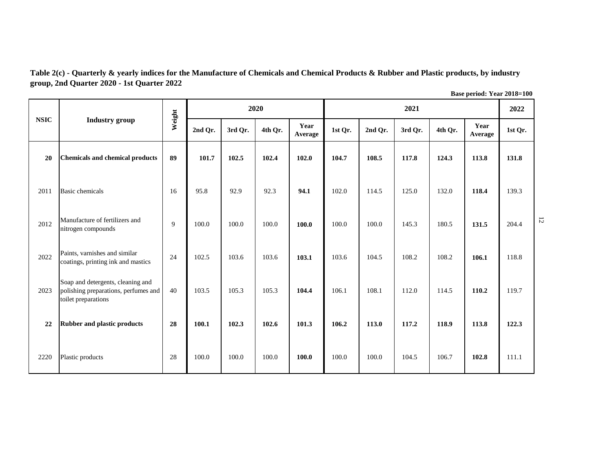**Table 2(c) - Quarterly & yearly indices for the Manufacture of Chemicals and Chemical Products & Rubber and Plastic products, by industry group, 2nd Quarter 2020 - 1st Quarter 2022** 

| <b>NSIC</b> |                                                                                                  |        |         |         | 2020    |                 |         |         | 2021    |         |                 | 2022    |                |
|-------------|--------------------------------------------------------------------------------------------------|--------|---------|---------|---------|-----------------|---------|---------|---------|---------|-----------------|---------|----------------|
|             | <b>Industry</b> group                                                                            | Weight | 2nd Qr. | 3rd Qr. | 4th Qr. | Year<br>Average | 1st Qr. | 2nd Qr. | 3rd Qr. | 4th Qr. | Year<br>Average | 1st Qr. |                |
| 20          | <b>Chemicals and chemical products</b>                                                           | 89     | 101.7   | 102.5   | 102.4   | 102.0           | 104.7   | 108.5   | 117.8   | 124.3   | 113.8           | 131.8   |                |
| 2011        | <b>Basic</b> chemicals                                                                           | 16     | 95.8    | 92.9    | 92.3    | 94.1            | 102.0   | 114.5   | 125.0   | 132.0   | 118.4           | 139.3   |                |
| 2012        | Manufacture of fertilizers and<br>nitrogen compounds                                             | 9      | 100.0   | 100.0   | 100.0   | 100.0           | 100.0   | 100.0   | 145.3   | 180.5   | 131.5           | 204.4   | $\overline{5}$ |
| 2022        | Paints, varnishes and similar<br>coatings, printing ink and mastics                              | 24     | 102.5   | 103.6   | 103.6   | 103.1           | 103.6   | 104.5   | 108.2   | 108.2   | 106.1           | 118.8   |                |
| 2023        | Soap and detergents, cleaning and<br>polishing preparations, perfumes and<br>toilet preparations | 40     | 103.5   | 105.3   | 105.3   | 104.4           | 106.1   | 108.1   | 112.0   | 114.5   | 110.2           | 119.7   |                |
| 22          | <b>Rubber and plastic products</b>                                                               | 28     | 100.1   | 102.3   | 102.6   | 101.3           | 106.2   | 113.0   | 117.2   | 118.9   | 113.8           | 122.3   |                |
| 2220        | Plastic products                                                                                 | 28     | 100.0   | 100.0   | 100.0   | 100.0           | 100.0   | 100.0   | 104.5   | 106.7   | 102.8           | 111.1   |                |

**Base period: Year 2018=100**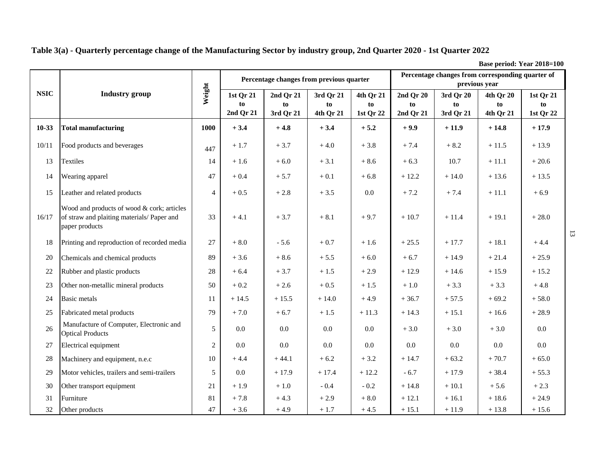**Table 3(a) - Quarterly percentage change of the Manufacturing Sector by industry group, 2nd Quarter 2020 - 1st Quarter 2022**

**Base period: Year 2018=100**

| <b>NSIC</b> |                                                                                                            |                |                              | Percentage changes from previous quarter |                              |                              |                              | previous year                | Percentage changes from corresponding quarter of |                              |
|-------------|------------------------------------------------------------------------------------------------------------|----------------|------------------------------|------------------------------------------|------------------------------|------------------------------|------------------------------|------------------------------|--------------------------------------------------|------------------------------|
|             | <b>Industry</b> group                                                                                      | Weight         | 1st Qr 21<br>to<br>2nd Qr 21 | 2nd Qr 21<br>to<br>3rd Qr 21             | 3rd Qr 21<br>to<br>4th Qr 21 | 4th Qr 21<br>to<br>1st Qr 22 | 2nd Qr 20<br>to<br>2nd Qr 21 | 3rd Qr 20<br>to<br>3rd Qr 21 | 4th Qr 20<br>to<br>4th Qr 21                     | 1st Qr 21<br>to<br>1st Qr 22 |
| $10-33$     | <b>Total manufacturing</b>                                                                                 | 1000           | $+3.4$                       | $+4.8$                                   | $+3.4$                       | $+5.2$                       | $+9.9$                       | $+11.9$                      | $+14.8$                                          | $+17.9$                      |
| 10/11       | Food products and beverages                                                                                | 447            | $+1.7$                       | $+3.7$                                   | $+4.0$                       | $+3.8$                       | $+7.4$                       | $+8.2$                       | $+11.5$                                          | $+13.9$                      |
| 13          | Textiles                                                                                                   | 14             | $+1.6$                       | $+6.0$                                   | $+3.1$                       | $+8.6$                       | $+6.3$                       | 10.7                         | $+11.1$                                          | $+20.6$                      |
| 14          | Wearing apparel                                                                                            | 47             | $+0.4$                       | $+5.7$                                   | $+0.1$                       | $+6.8$                       | $+12.2$                      | $+14.0$                      | $+13.6$                                          | $+13.5$                      |
| 15          | Leather and related products                                                                               | $\overline{4}$ | $+0.5$                       | $+2.8$                                   | $+3.5$                       | $0.0\,$                      | $+7.2$                       | $+7.4$                       | $+11.1$                                          | $+6.9$                       |
| 16/17       | Wood and products of wood & cork; articles<br>of straw and plaiting materials/ Paper and<br>paper products | 33             | $+4.1$                       | $+3.7$                                   | $+8.1$                       | $+9.7$                       | $+10.7$                      | $+11.4$                      | $+19.1$                                          | $+28.0$                      |
| 18          | Printing and reproduction of recorded media                                                                | 27             | $+8.0$                       | $-5.6$                                   | $+0.7$                       | $+1.6$                       | $+25.5$                      | $+17.7$                      | $+18.1$                                          | $+4.4$                       |
| 20          | Chemicals and chemical products                                                                            | 89             | $+3.6$                       | $+8.6$                                   | $+5.5$                       | $+6.0$                       | $+6.7$                       | $+14.9$                      | $+21.4$                                          | $+25.9$                      |
| 22          | Rubber and plastic products                                                                                | 28             | $+6.4$                       | $+3.7$                                   | $+1.5$                       | $+2.9$                       | $+12.9$                      | $+14.6$                      | $+15.9$                                          | $+15.2$                      |
| 23          | Other non-metallic mineral products                                                                        | 50             | $+0.2$                       | $+2.6$                                   | $+0.5$                       | $+1.5$                       | $+1.0$                       | $+3.3$                       | $+3.3$                                           | $+4.8$                       |
| 24          | <b>Basic</b> metals                                                                                        | 11             | $+14.5$                      | $+15.5$                                  | $+14.0$                      | $+4.9$                       | $+36.7$                      | $+57.5$                      | $+69.2$                                          | $+58.0$                      |
| 25          | Fabricated metal products                                                                                  | 79             | $+7.0$                       | $+6.7$                                   | $+1.5$                       | $+11.3$                      | $+14.3$                      | $+15.1$                      | $+16.6$                                          | $+28.9$                      |
| 26          | Manufacture of Computer, Electronic and<br><b>Optical Products</b>                                         | 5              | $0.0\,$                      | 0.0                                      | 0.0                          | $0.0\,$                      | $+3.0$                       | $+3.0$                       | $+3.0$                                           | 0.0                          |
| 27          | Electrical equipment                                                                                       | $\mathbf{2}$   | 0.0                          | 0.0                                      | 0.0                          | $0.0\,$                      | $0.0\,$                      | $0.0\,$                      | $0.0\,$                                          | 0.0                          |
| 28          | Machinery and equipment, n.e.c                                                                             | 10             | $+4.4$                       | $+44.1$                                  | $+6.2$                       | $+3.2$                       | $+14.7$                      | $+63.2$                      | $+70.7$                                          | $+65.0$                      |
| 29          | Motor vehicles, trailers and semi-trailers                                                                 | 5              | 0.0                          | $+17.9$                                  | $+17.4$                      | $+12.2$                      | $-6.7$                       | $+17.9$                      | $+38.4$                                          | $+55.3$                      |
| 30          | Other transport equipment                                                                                  | 21             | $+1.9$                       | $+1.0$                                   | $-0.4$                       | $-0.2$                       | $+14.8$                      | $+10.1$                      | $+5.6$                                           | $+2.3$                       |
| 31          | Furniture                                                                                                  | 81             | $+7.8$                       | $+4.3$                                   | $+2.9$                       | $+8.0$                       | $+12.1$                      | $+16.1$                      | $+18.6$                                          | $+24.9$                      |
| 32          | Other products                                                                                             | 47             | $+3.6$                       | $+4.9$                                   | $+1.7$                       | $+4.5$                       | $+15.1$                      | $+11.9$                      | $+13.8$                                          | $+15.6$                      |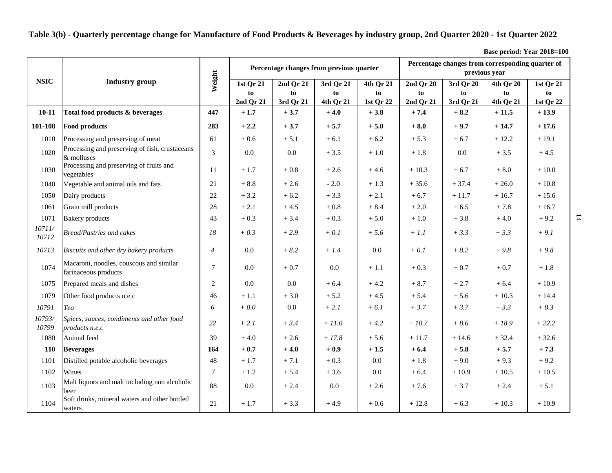**Table 3(b) - Quarterly percentage change for Manufacture of Food Products & Beverages by industry group, 2nd Quarter 2020 - 1st Quarter 2022**

**Base period: Year 2018=100**

|                 |                                                                 |                |                              | Percentage changes from previous quarter |                              |                              |                              | Percentage changes from corresponding quarter of<br>previous year |                              |                              |
|-----------------|-----------------------------------------------------------------|----------------|------------------------------|------------------------------------------|------------------------------|------------------------------|------------------------------|-------------------------------------------------------------------|------------------------------|------------------------------|
| <b>NSIC</b>     | <b>Industry</b> group                                           | Weight         | 1st Qr 21<br>to<br>2nd Qr 21 | 2nd Qr 21<br>to<br>3rd Qr 21             | 3rd Qr 21<br>to<br>4th Qr 21 | 4th Qr 21<br>to<br>1st Qr 22 | 2nd Qr 20<br>to<br>2nd Qr 21 | 3rd Qr 20<br>to<br>3rd Qr 21                                      | 4th Qr 20<br>to<br>4th Qr 21 | 1st Qr 21<br>to<br>1st Qr 22 |
| $10 - 11$       | Total food products & beverages                                 | 447            | $+1.7$                       | $+3.7$                                   | $+4.0$                       | $+3.8$                       | $+7.4$                       | $+8.2$                                                            | $+11.5$                      | $+13.9$                      |
| 101-108         | <b>Food products</b>                                            | 283            | $+2.2$                       | $+3.7$                                   | $+5.7$                       | $+5.0$                       | $+8.0$                       | $+9.7$                                                            | $+14.7$                      | $+17.6$                      |
| 1010            | Processing and preserving of meat                               | 61             | $+0.6$                       | $+ 5.1$                                  | $+ 6.1$                      | $+6.2$                       | $+5.3$                       | $+6.7$                                                            | $+12.2$                      | $+19.1$                      |
| 1020            | Processing and preserving of fish, crustaceans<br>& molluscs    | 3              | 0.0                          | 0.0                                      | $+3.5$                       | $+~1.0\,$                    | $+1.8$                       | 0.0                                                               | $+3.5$                       | $+4.5$                       |
| 1030            | Processing and preserving of fruits and<br>vegetables           | 11             | $+1.7$                       | $+0.8$                                   | $+2.6$                       | $+4.6$                       | $+10.3$                      | $+6.7$                                                            | $+8.0$                       | $+10.0$                      |
| 1040            | Vegetable and animal oils and fats                              | 21             | $+8.8$                       | $+2.6$                                   | $-2.0$                       | $+1.3$                       | $+35.6$                      | $+37.4$                                                           | $+26.0$                      | $+10.8$                      |
| 1050            | Dairy products                                                  | 22             | $+3.2$                       | $+6.2$                                   | $+3.3$                       | $+2.1$                       | $+6.7$                       | $+11.7$                                                           | $+16.7$                      | $+15.6$                      |
| 1061            | Grain mill products                                             | 28             | $+2.1$                       | $+4.5$                                   | $+0.8$                       | $+8.4$                       | $+2.0$                       | $+6.5$                                                            | $+7.8$                       | $+16.7$                      |
| 1071            | <b>Bakery</b> products                                          | 43             | $+0.3$                       | $+3.4$                                   | $+0.3$                       | $+5.0$                       | $+1.0$                       | $+3.8$                                                            | $+4.0$                       | $+9.2$                       |
| 10711/<br>10712 | <b>Bread/Pastries and cakes</b>                                 | 18             | $+0.3$                       | $+2.9$                                   | $+$ 0.1                      | $+ 5.6$                      | $+1.1$                       | $+3.3$                                                            | $+3.3$                       | $+9.1$                       |
| 10713           | Biscuits and other dry bakery products                          | $\overline{4}$ | 0.0                          | $+8.2$                                   | $+1.4$                       | 0.0                          | $+0.1$                       | $+8.2$                                                            | $+9.8$                       | $+9.8$                       |
| 1074            | Macaroni, noodles, couscous and similar<br>farinaceous products | 7              | 0.0                          | $+0.7$                                   | 0.0                          | $+1.1$                       | $+0.3$                       | $+0.7$                                                            | $+0.7$                       | $+1.8$                       |
| 1075            | Prepared meals and dishes                                       | $\overline{c}$ | 0.0                          | 0.0                                      | $+6.4$                       | $+4.2$                       | $+8.7$                       | $+2.7$                                                            | $+6.4$                       | $+10.9$                      |
| 1079            | Other food products n.e.c                                       | 46             | $+1.1$                       | $+3.0$                                   | $+5.2$                       | $+4.5$                       | $+ 5.4$                      | $+5.6$                                                            | $+10.3$                      | $+14.4$                      |
| 10791           | Tea                                                             | 6              | $+0.0$                       | 0.0                                      | $+ 2.1$                      | $+6.1$                       | $+3.7$                       | $+3.7$                                                            | $+3.3$                       | $+8.3$                       |
| 10793/<br>10799 | Spices, sauces, condiments and other food<br>products n.e.c     | 22             | $+ 2.1$                      | $+3.4$                                   | $+11.0$                      | $+4.2$                       | $+10.7$                      | $+8.6$                                                            | $+18.9$                      | $+22.2$                      |
| 1080            | Animal feed                                                     | 39             | $+4.0$                       | $+2.6$                                   | $+17.8$                      | $+5.6$                       | $+11.7$                      | $+14.6$                                                           | $+32.4$                      | $+32.6$                      |
| <b>110</b>      | <b>Beverages</b>                                                | 164            | $+0.7$                       | $+4.0$                                   | $+0.9$                       | $+1.5$                       | $+6.4$                       | $+5.8$                                                            | $+5.7$                       | $+7.3$                       |
| 1101            | Distilled potable alcoholic beverages                           | 48             | $+1.7$                       | $+7.1$                                   | $+0.3$                       | $0.0\,$                      | $+1.8$                       | $+9.0$                                                            | $+9.3$                       | $+9.2$                       |
| 1102            | Wines                                                           | $\tau$         | $+1.2$                       | $+5.4$                                   | $+3.6$                       | 0.0                          | $+6.4$                       | $+10.9$                                                           | $+10.5$                      | $+10.5$                      |
| 1103            | Malt liquors and malt including non alcoholic<br>beer           | 88             | 0.0                          | $+2.4$                                   | 0.0                          | $+2.6$                       | $+7.6$                       | $+3.7$                                                            | $+2.4$                       | $+ 5.1$                      |
| 1104            | Soft drinks, mineral waters and other bottled<br>waters         | 21             | $+1.7$                       | $+3.3$                                   | $+4.9$                       | $+0.6$                       | $+12.8$                      | $+6.3$                                                            | $+10.3$                      | $+10.9$                      |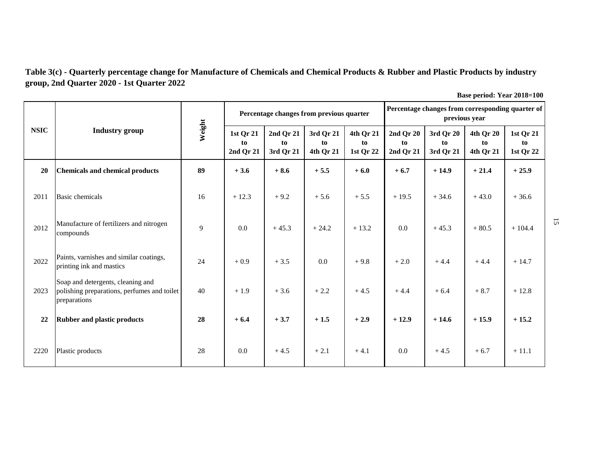**Table 3(c) - Quarterly percentage change for Manufacture of Chemicals and Chemical Products & Rubber and Plastic Products by industry group, 2nd Quarter 2020 - 1st Quarter 2022**

| <b>NSIC</b> |                                                                                                  |        |                              | Percentage changes from previous quarter |                              |                              |                              | Percentage changes from corresponding quarter of<br>previous year |                              |                              |
|-------------|--------------------------------------------------------------------------------------------------|--------|------------------------------|------------------------------------------|------------------------------|------------------------------|------------------------------|-------------------------------------------------------------------|------------------------------|------------------------------|
|             | <b>Industry group</b>                                                                            | Weight | 1st Qr 21<br>to<br>2nd Qr 21 | 2nd Qr 21<br>to<br>3rd Qr 21             | 3rd Qr 21<br>to<br>4th Qr 21 | 4th Qr 21<br>to<br>1st Qr 22 | 2nd Qr 20<br>to<br>2nd Qr 21 | 3rd Qr 20<br>to<br>3rd Qr 21                                      | 4th Qr 20<br>to<br>4th Qr 21 | 1st Qr 21<br>to<br>1st Qr 22 |
| 20          | <b>Chemicals and chemical products</b>                                                           | 89     | $+3.6$                       | $+8.6$                                   | $+5.5$                       | $+6.0$                       | $+6.7$                       | $+14.9$                                                           | $+21.4$                      | $+25.9$                      |
| 2011        | <b>Basic chemicals</b>                                                                           | 16     | $+12.3$                      | $+9.2$                                   | $+5.6$                       | $+5.5$                       | $+19.5$                      | $+34.6$                                                           | $+43.0$                      | $+36.6$                      |
| 2012        | Manufacture of fertilizers and nitrogen<br>compounds                                             | 9      | 0.0                          | $+45.3$                                  | $+24.2$                      | $+13.2$                      | 0.0                          | $+45.3$                                                           | $+80.5$                      | $+104.4$                     |
| 2022        | Paints, varnishes and similar coatings,<br>printing ink and mastics                              | 24     | $+0.9$                       | $+3.5$                                   | 0.0                          | $+9.8$                       | $+2.0$                       | $+4.4$                                                            | $+4.4$                       | $+14.7$                      |
| 2023        | Soap and detergents, cleaning and<br>polishing preparations, perfumes and toilet<br>preparations | 40     | $+1.9$                       | $+3.6$                                   | $+2.2$                       | $+4.5$                       | $+4.4$                       | $+6.4$                                                            | $+8.7$                       | $+12.8$                      |
| 22          | <b>Rubber and plastic products</b>                                                               | 28     | $+6.4$                       | $+3.7$                                   | $+1.5$                       | $+2.9$                       | $+12.9$                      | $+14.6$                                                           | $+15.9$                      | $+15.2$                      |
| 2220        | Plastic products                                                                                 | 28     | 0.0                          | $+4.5$                                   | $+2.1$                       | $+4.1$                       | 0.0                          | $+4.5$                                                            | $+6.7$                       | $+11.1$                      |

**Base period: Year 2018=100**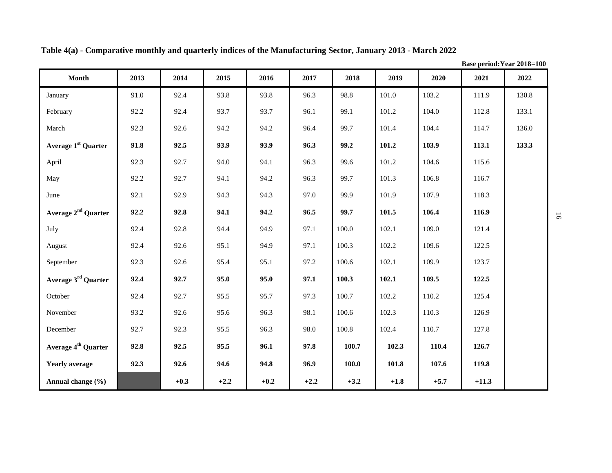| <b>Month</b>                    | 2013 | 2014   | 2015   | 2016   | 2017   | 2018   | 2019   | 2020   | 2021    | 2022  |
|---------------------------------|------|--------|--------|--------|--------|--------|--------|--------|---------|-------|
| January                         | 91.0 | 92.4   | 93.8   | 93.8   | 96.3   | 98.8   | 101.0  | 103.2  | 111.9   | 130.8 |
| February                        | 92.2 | 92.4   | 93.7   | 93.7   | 96.1   | 99.1   | 101.2  | 104.0  | 112.8   | 133.1 |
| March                           | 92.3 | 92.6   | 94.2   | 94.2   | 96.4   | 99.7   | 101.4  | 104.4  | 114.7   | 136.0 |
| Average 1 <sup>st</sup> Quarter | 91.8 | 92.5   | 93.9   | 93.9   | 96.3   | 99.2   | 101.2  | 103.9  | 113.1   | 133.3 |
| April                           | 92.3 | 92.7   | 94.0   | 94.1   | 96.3   | 99.6   | 101.2  | 104.6  | 115.6   |       |
| May                             | 92.2 | 92.7   | 94.1   | 94.2   | 96.3   | 99.7   | 101.3  | 106.8  | 116.7   |       |
| June                            | 92.1 | 92.9   | 94.3   | 94.3   | 97.0   | 99.9   | 101.9  | 107.9  | 118.3   |       |
| Average 2 <sup>nd</sup> Quarter | 92.2 | 92.8   | 94.1   | 94.2   | 96.5   | 99.7   | 101.5  | 106.4  | 116.9   |       |
| July                            | 92.4 | 92.8   | 94.4   | 94.9   | 97.1   | 100.0  | 102.1  | 109.0  | 121.4   |       |
| August                          | 92.4 | 92.6   | 95.1   | 94.9   | 97.1   | 100.3  | 102.2  | 109.6  | 122.5   |       |
| September                       | 92.3 | 92.6   | 95.4   | 95.1   | 97.2   | 100.6  | 102.1  | 109.9  | 123.7   |       |
| Average 3 <sup>rd</sup> Quarter | 92.4 | 92.7   | 95.0   | 95.0   | 97.1   | 100.3  | 102.1  | 109.5  | 122.5   |       |
| October                         | 92.4 | 92.7   | 95.5   | 95.7   | 97.3   | 100.7  | 102.2  | 110.2  | 125.4   |       |
| November                        | 93.2 | 92.6   | 95.6   | 96.3   | 98.1   | 100.6  | 102.3  | 110.3  | 126.9   |       |
| December                        | 92.7 | 92.3   | 95.5   | 96.3   | 98.0   | 100.8  | 102.4  | 110.7  | 127.8   |       |
| Average 4 <sup>th</sup> Quarter | 92.8 | 92.5   | 95.5   | 96.1   | 97.8   | 100.7  | 102.3  | 110.4  | 126.7   |       |
| <b>Yearly average</b>           | 92.3 | 92.6   | 94.6   | 94.8   | 96.9   | 100.0  | 101.8  | 107.6  | 119.8   |       |
| Annual change (%)               |      | $+0.3$ | $+2.2$ | $+0.2$ | $+2.2$ | $+3.2$ | $+1.8$ | $+5.7$ | $+11.3$ |       |

**Table 4(a) - Comparative monthly and quarterly indices of the Manufacturing Sector, January 2013 - March 2022**

**Base period:Year 2018=100**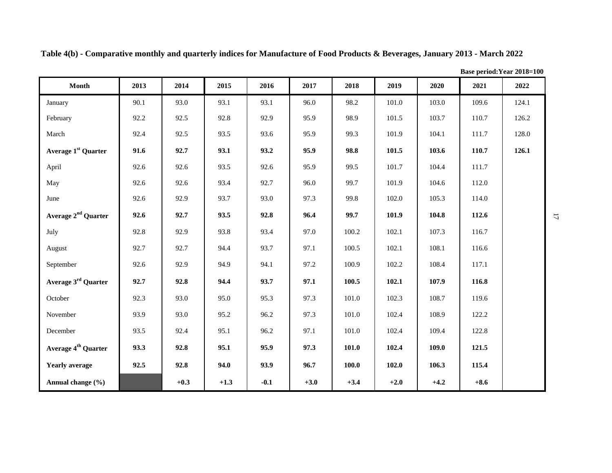|                                 |      |        |        |        |        |           |        |        | Base period: Year 2018=100 |       |
|---------------------------------|------|--------|--------|--------|--------|-----------|--------|--------|----------------------------|-------|
| Month                           | 2013 | 2014   | 2015   | 2016   | 2017   | 2018      | 2019   | 2020   | 2021                       | 2022  |
| January                         | 90.1 | 93.0   | 93.1   | 93.1   | 96.0   | 98.2      | 101.0  | 103.0  | 109.6                      | 124.1 |
| February                        | 92.2 | 92.5   | 92.8   | 92.9   | 95.9   | 98.9      | 101.5  | 103.7  | 110.7                      | 126.2 |
| March                           | 92.4 | 92.5   | 93.5   | 93.6   | 95.9   | 99.3      | 101.9  | 104.1  | 111.7                      | 128.0 |
| Average 1 <sup>st</sup> Quarter | 91.6 | 92.7   | 93.1   | 93.2   | 95.9   | 98.8      | 101.5  | 103.6  | 110.7                      | 126.1 |
| April                           | 92.6 | 92.6   | 93.5   | 92.6   | 95.9   | 99.5      | 101.7  | 104.4  | 111.7                      |       |
| May                             | 92.6 | 92.6   | 93.4   | 92.7   | 96.0   | 99.7      | 101.9  | 104.6  | 112.0                      |       |
| June                            | 92.6 | 92.9   | 93.7   | 93.0   | 97.3   | 99.8      | 102.0  | 105.3  | 114.0                      |       |
| Average 2 <sup>nd</sup> Quarter | 92.6 | 92.7   | 93.5   | 92.8   | 96.4   | 99.7      | 101.9  | 104.8  | 112.6                      |       |
| July                            | 92.8 | 92.9   | 93.8   | 93.4   | 97.0   | 100.2     | 102.1  | 107.3  | 116.7                      |       |
| August                          | 92.7 | 92.7   | 94.4   | 93.7   | 97.1   | 100.5     | 102.1  | 108.1  | 116.6                      |       |
| September                       | 92.6 | 92.9   | 94.9   | 94.1   | 97.2   | 100.9     | 102.2  | 108.4  | 117.1                      |       |
| Average 3 <sup>rd</sup> Quarter | 92.7 | 92.8   | 94.4   | 93.7   | 97.1   | 100.5     | 102.1  | 107.9  | 116.8                      |       |
| October                         | 92.3 | 93.0   | 95.0   | 95.3   | 97.3   | $101.0\,$ | 102.3  | 108.7  | 119.6                      |       |
| November                        | 93.9 | 93.0   | 95.2   | 96.2   | 97.3   | 101.0     | 102.4  | 108.9  | 122.2                      |       |
| December                        | 93.5 | 92.4   | 95.1   | 96.2   | 97.1   | $101.0\,$ | 102.4  | 109.4  | 122.8                      |       |
| Average 4 <sup>th</sup> Quarter | 93.3 | 92.8   | 95.1   | 95.9   | 97.3   | 101.0     | 102.4  | 109.0  | 121.5                      |       |
| <b>Yearly average</b>           | 92.5 | 92.8   | 94.0   | 93.9   | 96.7   | 100.0     | 102.0  | 106.3  | 115.4                      |       |
| Annual change (%)               |      | $+0.3$ | $+1.3$ | $-0.1$ | $+3.0$ | $+3.4$    | $+2.0$ | $+4.2$ | $+8.6$                     |       |

**Table 4(b) - Comparative monthly and quarterly indices for Manufacture of Food Products & Beverages, January 2013 - March 2022**

 $\overline{1}$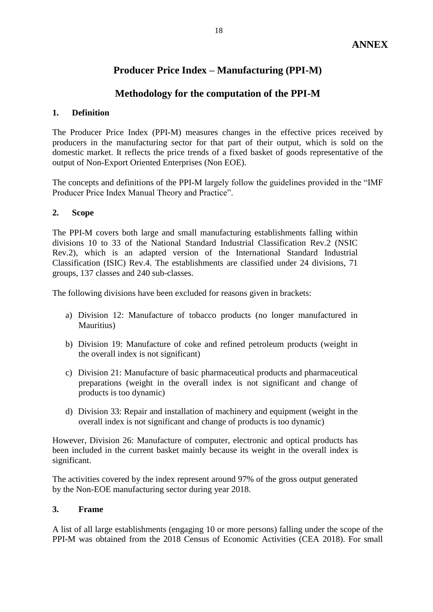## **Producer Price Index – Manufacturing (PPI-M)**

## **Methodology for the computation of the PPI-M**

#### **1. Definition**

The Producer Price Index (PPI-M) measures changes in the effective prices received by producers in the manufacturing sector for that part of their output, which is sold on the domestic market. It reflects the price trends of a fixed basket of goods representative of the output of Non-Export Oriented Enterprises (Non EOE).

The concepts and definitions of the PPI-M largely follow the guidelines provided in the "IMF Producer Price Index Manual Theory and Practice".

#### **2. Scope**

The PPI-M covers both large and small manufacturing establishments falling within divisions 10 to 33 of the National Standard Industrial Classification Rev.2 (NSIC Rev.2), which is an adapted version of the International Standard Industrial Classification (ISIC) Rev.4. The establishments are classified under 24 divisions, 71 groups, 137 classes and 240 sub-classes.

The following divisions have been excluded for reasons given in brackets:

- a) Division 12: Manufacture of tobacco products (no longer manufactured in Mauritius)
- b) Division 19: Manufacture of coke and refined petroleum products (weight in the overall index is not significant)
- c) Division 21: Manufacture of basic pharmaceutical products and pharmaceutical preparations (weight in the overall index is not significant and change of products is too dynamic)
- d) Division 33: Repair and installation of machinery and equipment (weight in the overall index is not significant and change of products is too dynamic)

However, Division 26: Manufacture of computer, electronic and optical products has been included in the current basket mainly because its weight in the overall index is significant.

The activities covered by the index represent around 97% of the gross output generated by the Non-EOE manufacturing sector during year 2018.

### **3. Frame**

A list of all large establishments (engaging 10 or more persons) falling under the scope of the PPI-M was obtained from the 2018 Census of Economic Activities (CEA 2018). For small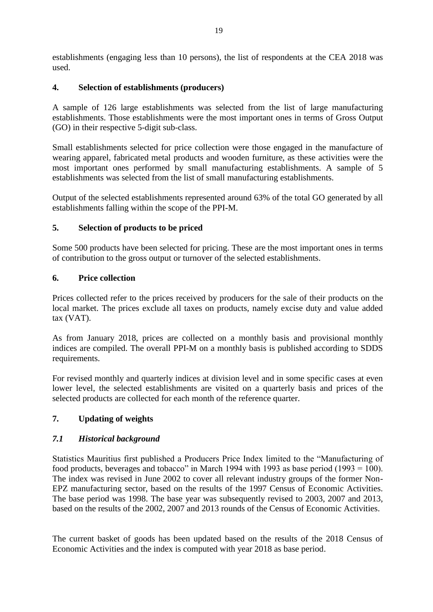establishments (engaging less than 10 persons), the list of respondents at the CEA 2018 was used.

## **4. Selection of establishments (producers)**

A sample of 126 large establishments was selected from the list of large manufacturing establishments. Those establishments were the most important ones in terms of Gross Output (GO) in their respective 5-digit sub-class.

Small establishments selected for price collection were those engaged in the manufacture of wearing apparel, fabricated metal products and wooden furniture, as these activities were the most important ones performed by small manufacturing establishments. A sample of 5 establishments was selected from the list of small manufacturing establishments.

Output of the selected establishments represented around 63% of the total GO generated by all establishments falling within the scope of the PPI-M.

## **5. Selection of products to be priced**

Some 500 products have been selected for pricing. These are the most important ones in terms of contribution to the gross output or turnover of the selected establishments.

## **6. Price collection**

Prices collected refer to the prices received by producers for the sale of their products on the local market. The prices exclude all taxes on products, namely excise duty and value added tax (VAT).

As from January 2018, prices are collected on a monthly basis and provisional monthly indices are compiled. The overall PPI-M on a monthly basis is published according to SDDS requirements.

For revised monthly and quarterly indices at division level and in some specific cases at even lower level, the selected establishments are visited on a quarterly basis and prices of the selected products are collected for each month of the reference quarter.

## **7. Updating of weights**

### *7.1 Historical background*

Statistics Mauritius first published a Producers Price Index limited to the "Manufacturing of food products, beverages and tobacco" in March 1994 with 1993 as base period (1993 = 100). The index was revised in June 2002 to cover all relevant industry groups of the former Non-EPZ manufacturing sector, based on the results of the 1997 Census of Economic Activities. The base period was 1998. The base year was subsequently revised to 2003, 2007 and 2013, based on the results of the 2002, 2007 and 2013 rounds of the Census of Economic Activities.

The current basket of goods has been updated based on the results of the 2018 Census of Economic Activities and the index is computed with year 2018 as base period.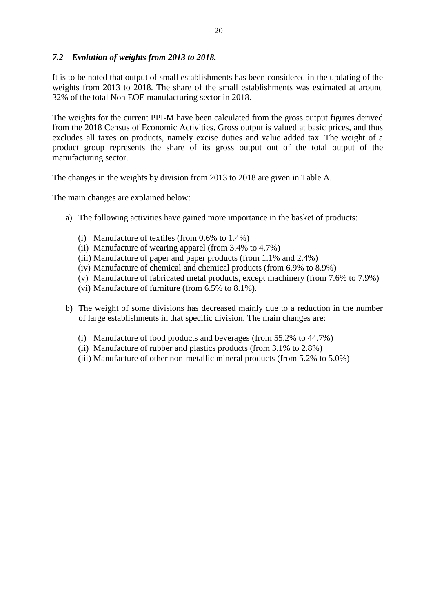## *7.2 Evolution of weights from 2013 to 2018.*

It is to be noted that output of small establishments has been considered in the updating of the weights from 2013 to 2018. The share of the small establishments was estimated at around 32% of the total Non EOE manufacturing sector in 2018.

The weights for the current PPI-M have been calculated from the gross output figures derived from the 2018 Census of Economic Activities. Gross output is valued at basic prices, and thus excludes all taxes on products, namely excise duties and value added tax. The weight of a product group represents the share of its gross output out of the total output of the manufacturing sector.

The changes in the weights by division from 2013 to 2018 are given in Table A.

The main changes are explained below:

- a) The following activities have gained more importance in the basket of products:
	- (i) Manufacture of textiles (from 0.6% to 1.4%)
	- (ii) Manufacture of wearing apparel (from 3.4% to 4.7%)
	- (iii) Manufacture of paper and paper products (from 1.1% and 2.4%)
	- (iv) Manufacture of chemical and chemical products (from 6.9% to 8.9%)
	- (v) Manufacture of fabricated metal products, except machinery (from 7.6% to 7.9%)
	- (vi) Manufacture of furniture (from 6.5% to 8.1%).
- b) The weight of some divisions has decreased mainly due to a reduction in the number of large establishments in that specific division. The main changes are:
	- (i) Manufacture of food products and beverages (from 55.2% to 44.7%)
	- (ii) Manufacture of rubber and plastics products (from 3.1% to 2.8%)
	- (iii) Manufacture of other non-metallic mineral products (from 5.2% to 5.0%)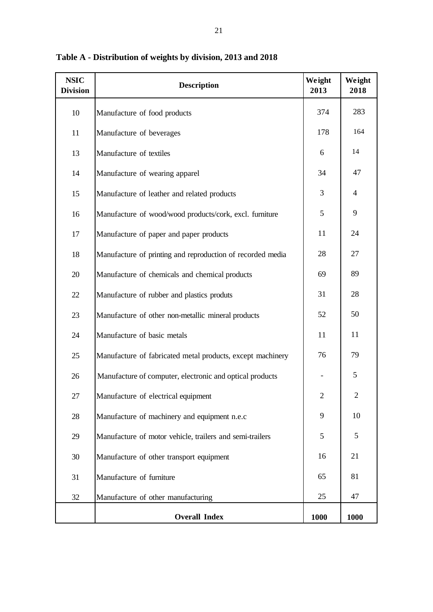| <b>NSIC</b><br><b>Division</b> | <b>Description</b>                                         | Weight<br>2013 | Weight<br>2018 |
|--------------------------------|------------------------------------------------------------|----------------|----------------|
| $10\,$                         | Manufacture of food products                               | 374            | 283            |
| 11                             | Manufacture of beverages                                   | 178            | 164            |
| 13                             | Manufacture of textiles                                    | 6              | 14             |
| 14                             | Manufacture of wearing apparel                             | 34             | 47             |
| 15                             | Manufacture of leather and related products                | 3              | $\overline{4}$ |
| 16                             | Manufacture of wood/wood products/cork, excl. furniture    | 5              | 9              |
| 17                             | Manufacture of paper and paper products                    | 11             | 24             |
| 18                             | Manufacture of printing and reproduction of recorded media | 28             | 27             |
| 20                             | Manufacture of chemicals and chemical products             | 69             | 89             |
| 22                             | Manufacture of rubber and plastics produts                 | 31             | 28             |
| 23                             | Manufacture of other non-metallic mineral products         | 52             | 50             |
| 24                             | Manufacture of basic metals                                | 11             | 11             |
| 25                             | Manufacture of fabricated metal products, except machinery | 76             | 79             |
| 26                             | Manufacture of computer, electronic and optical products   |                | 5              |
| 27                             | Manufacture of electrical equipment                        | $\overline{2}$ | $\overline{2}$ |
| 28                             | Manufacture of machinery and equipment n.e.c               | 9              | 10             |
| 29                             | Manufacture of motor vehicle, trailers and semi-trailers   | 5              | 5              |
| 30                             | Manufacture of other transport equipment                   | 16             | 21             |
| 31                             | Manufacture of furniture                                   | 65             | 81             |
| 32                             | Manufacture of other manufacturing                         | 25             | 47             |
|                                | <b>Overall Index</b>                                       | 1000           | 1000           |

**Table A - Distribution of weights by division, 2013 and 2018**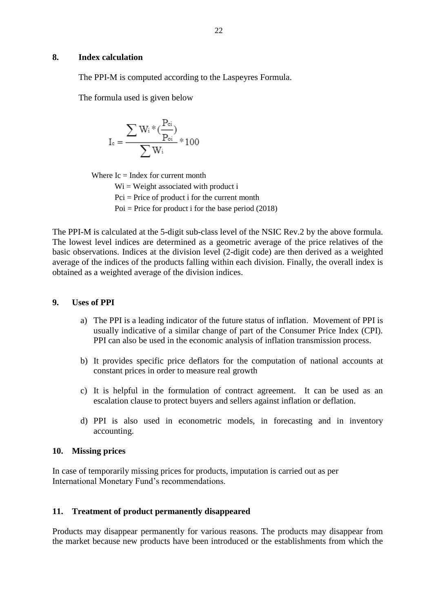The PPI-M is computed according to the Laspeyres Formula.

The formula used is given below

$$
I_c=\frac{\sum W_i*(\frac{P_{ci}}{P_{oi}})}{\sum W_i}*100
$$

Where  $Ic = Index$  for current month

 $Wi = Weight$  associated with product i  $Pci = Price of product i for the current month$ Poi = Price for product i for the base period  $(2018)$ 

The PPI-M is calculated at the 5-digit sub-class level of the NSIC Rev.2 by the above formula. The lowest level indices are determined as a geometric average of the price relatives of the basic observations. Indices at the division level (2-digit code) are then derived as a weighted average of the indices of the products falling within each division. Finally, the overall index is obtained as a weighted average of the division indices.

#### **9. Uses of PPI**

- a) The PPI is a leading indicator of the future status of inflation. Movement of PPI is usually indicative of a similar change of part of the Consumer Price Index (CPI). PPI can also be used in the economic analysis of inflation transmission process.
- b) It provides specific price deflators for the computation of national accounts at constant prices in order to measure real growth
- c) It is helpful in the formulation of contract agreement. It can be used as an escalation clause to protect buyers and sellers against inflation or deflation.
- d) PPI is also used in econometric models, in forecasting and in inventory accounting.

#### **10. Missing prices**

In case of temporarily missing prices for products, imputation is carried out as per International Monetary Fund's recommendations.

#### **11. Treatment of product permanently disappeared**

Products may disappear permanently for various reasons. The products may disappear from the market because new products have been introduced or the establishments from which the